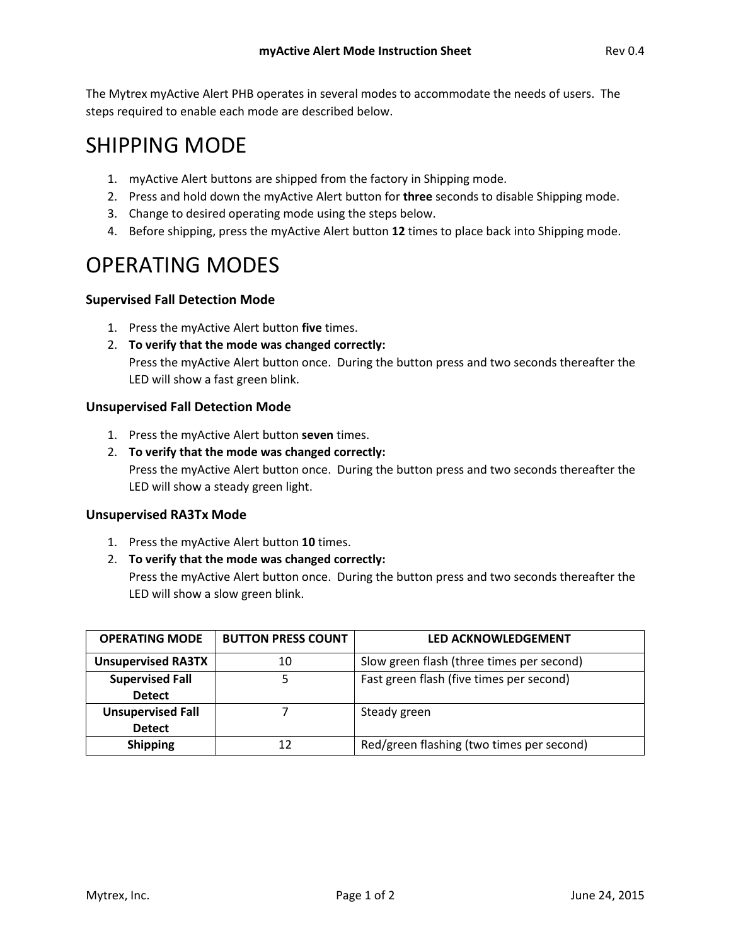The Mytrex myActive Alert PHB operates in several modes to accommodate the needs of users. The steps required to enable each mode are described below.

## SHIPPING MODE

- 1. myActive Alert buttons are shipped from the factory in Shipping mode.
- 2. Press and hold down the myActive Alert button for **three** seconds to disable Shipping mode.
- 3. Change to desired operating mode using the steps below.
- 4. Before shipping, press the myActive Alert button **12** times to place back into Shipping mode.

# OPERATING MODES

## **Supervised Fall Detection Mode**

- 1. Press the myActive Alert button **five** times.
- 2. **To verify that the mode was changed correctly:**  Press the myActive Alert button once. During the button press and two seconds thereafter the LED will show a fast green blink.

## **Unsupervised Fall Detection Mode**

- 1. Press the myActive Alert button **seven** times.
- 2. **To verify that the mode was changed correctly:**  Press the myActive Alert button once. During the button press and two seconds thereafter the LED will show a steady green light.

#### **Unsupervised RA3Tx Mode**

- 1. Press the myActive Alert button **10** times.
- 2. **To verify that the mode was changed correctly:**

Press the myActive Alert button once. During the button press and two seconds thereafter the LED will show a slow green blink.

| <b>OPERATING MODE</b>     | <b>BUTTON PRESS COUNT</b> | <b>LED ACKNOWLEDGEMENT</b>                |
|---------------------------|---------------------------|-------------------------------------------|
| <b>Unsupervised RA3TX</b> | 10                        | Slow green flash (three times per second) |
| <b>Supervised Fall</b>    | 5                         | Fast green flash (five times per second)  |
| <b>Detect</b>             |                           |                                           |
| <b>Unsupervised Fall</b>  |                           | Steady green                              |
| <b>Detect</b>             |                           |                                           |
| <b>Shipping</b>           | 12                        | Red/green flashing (two times per second) |